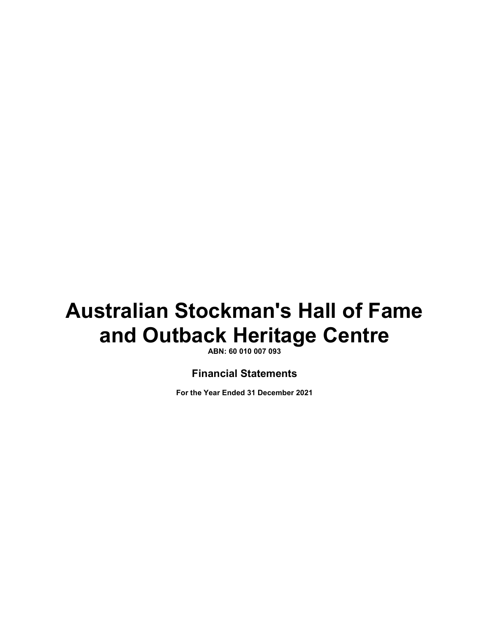**ABN: 60 010 007 093** 

### **Financial Statements**

**For the Year Ended 31 December 2021**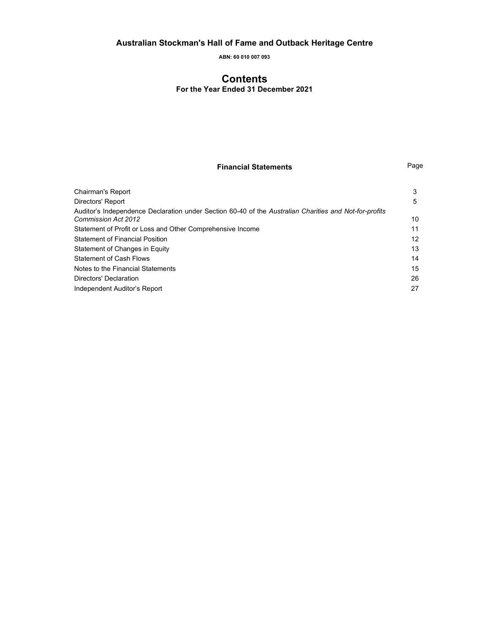**ABN: 60 010 007 093** 

### **Contents**

**For the Year Ended 31 December 2021** 

### **Financial Statements** Page

| Chairman's Report                                                                                                                    | 3                 |
|--------------------------------------------------------------------------------------------------------------------------------------|-------------------|
| Directors' Report                                                                                                                    | 5                 |
| Auditor's Independence Declaration under Section 60-40 of the Australian Charities and Not-for-profits<br><b>Commission Act 2012</b> | 10                |
| Statement of Profit or Loss and Other Comprehensive Income                                                                           | 11                |
| <b>Statement of Financial Position</b>                                                                                               | $12 \overline{ }$ |
| Statement of Changes in Equity                                                                                                       | 13                |
| Statement of Cash Flows                                                                                                              | 14                |
| Notes to the Financial Statements                                                                                                    | 15                |
| Directors' Declaration                                                                                                               | 26                |
| Independent Auditor's Report                                                                                                         | 27                |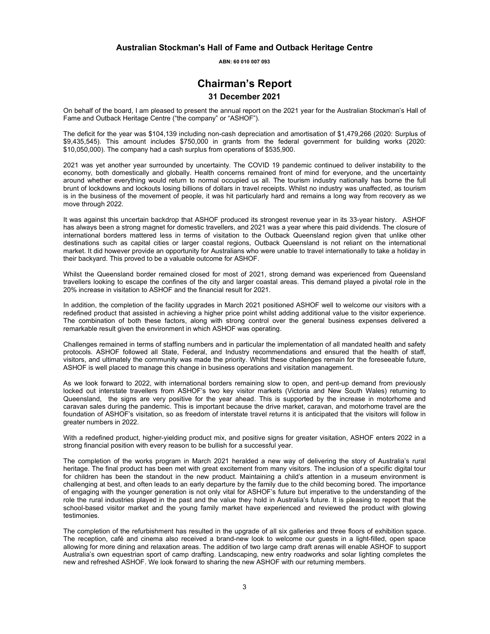**ABN: 60 010 007 093** 

### **Chairman's Report**

### **31 December 2021**

On behalf of the board, I am pleased to present the annual report on the 2021 year for the Australian Stockman's Hall of Fame and Outback Heritage Centre ("the company" or "ASHOF").

The deficit for the year was \$104,139 including non-cash depreciation and amortisation of \$1,479,266 (2020: Surplus of \$9,435,545). This amount includes \$750,000 in grants from the federal government for building works (2020: \$10,050,000). The company had a cash surplus from operations of \$535,900.

2021 was yet another year surrounded by uncertainty. The COVID 19 pandemic continued to deliver instability to the economy, both domestically and globally. Health concerns remained front of mind for everyone, and the uncertainty around whether everything would return to normal occupied us all. The tourism industry nationally has borne the full brunt of lockdowns and lockouts losing billions of dollars in travel receipts. Whilst no industry was unaffected, as tourism is in the business of the movement of people, it was hit particularly hard and remains a long way from recovery as we move through 2022.

It was against this uncertain backdrop that ASHOF produced its strongest revenue year in its 33-year history. ASHOF has always been a strong magnet for domestic travellers, and 2021 was a year where this paid dividends. The closure of international borders mattered less in terms of visitation to the Outback Queensland region given that unlike other destinations such as capital cities or larger coastal regions, Outback Queensland is not reliant on the international market. It did however provide an opportunity for Australians who were unable to travel internationally to take a holiday in their backyard. This proved to be a valuable outcome for ASHOF.

Whilst the Queensland border remained closed for most of 2021, strong demand was experienced from Queensland travellers looking to escape the confines of the city and larger coastal areas. This demand played a pivotal role in the 20% increase in visitation to ASHOF and the financial result for 2021.

In addition, the completion of the facility upgrades in March 2021 positioned ASHOF well to welcome our visitors with a redefined product that assisted in achieving a higher price point whilst adding additional value to the visitor experience. The combination of both these factors, along with strong control over the general business expenses delivered a remarkable result given the environment in which ASHOF was operating.

Challenges remained in terms of staffing numbers and in particular the implementation of all mandated health and safety protocols. ASHOF followed all State, Federal, and Industry recommendations and ensured that the health of staff, visitors, and ultimately the community was made the priority. Whilst these challenges remain for the foreseeable future, ASHOF is well placed to manage this change in business operations and visitation management.

As we look forward to 2022, with international borders remaining slow to open, and pent-up demand from previously locked out interstate travellers from ASHOF's two key visitor markets (Victoria and New South Wales) returning to Queensland, the signs are very positive for the year ahead. This is supported by the increase in motorhome and caravan sales during the pandemic. This is important because the drive market, caravan, and motorhome travel are the foundation of ASHOF's visitation, so as freedom of interstate travel returns it is anticipated that the visitors will follow in greater numbers in 2022.

With a redefined product, higher-yielding product mix, and positive signs for greater visitation, ASHOF enters 2022 in a strong financial position with every reason to be bullish for a successful year.

The completion of the works program in March 2021 heralded a new way of delivering the story of Australia's rural heritage. The final product has been met with great excitement from many visitors. The inclusion of a specific digital tour for children has been the standout in the new product. Maintaining a child's attention in a museum environment is challenging at best, and often leads to an early departure by the family due to the child becoming bored. The importance of engaging with the younger generation is not only vital for ASHOF's future but imperative to the understanding of the role the rural industries played in the past and the value they hold in Australia's future. It is pleasing to report that the school-based visitor market and the young family market have experienced and reviewed the product with glowing testimonies.

The completion of the refurbishment has resulted in the upgrade of all six galleries and three floors of exhibition space. The reception, café and cinema also received a brand-new look to welcome our guests in a light-filled, open space allowing for more dining and relaxation areas. The addition of two large camp draft arenas will enable ASHOF to support Australia's own equestrian sport of camp drafting. Landscaping, new entry roadworks and solar lighting completes the new and refreshed ASHOF. We look forward to sharing the new ASHOF with our returning members.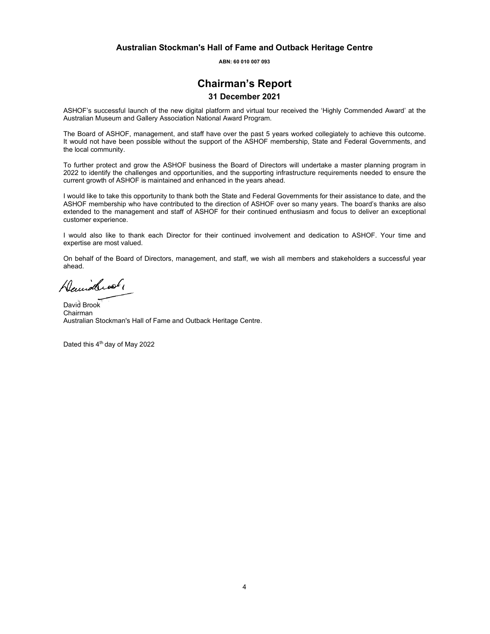**ABN: 60 010 007 093** 

### **Chairman's Report**

### **31 December 2021**

ASHOF's successful launch of the new digital platform and virtual tour received the 'Highly Commended Award' at the Australian Museum and Gallery Association National Award Program.

The Board of ASHOF, management, and staff have over the past 5 years worked collegiately to achieve this outcome. It would not have been possible without the support of the ASHOF membership, State and Federal Governments, and the local community.

To further protect and grow the ASHOF business the Board of Directors will undertake a master planning program in 2022 to identify the challenges and opportunities, and the supporting infrastructure requirements needed to ensure the current growth of ASHOF is maintained and enhanced in the years ahead.

I would like to take this opportunity to thank both the State and Federal Governments for their assistance to date, and the ASHOF membership who have contributed to the direction of ASHOF over so many years. The board's thanks are also extended to the management and staff of ASHOF for their continued enthusiasm and focus to deliver an exceptional customer experience.

I would also like to thank each Director for their continued involvement and dedication to ASHOF. Your time and expertise are most valued.

On behalf of the Board of Directors, management, and staff, we wish all members and stakeholders a successful year ahead.

Denidleof,

David Brook Chairman Australian Stockman's Hall of Fame and Outback Heritage Centre.

Dated this 4<sup>th</sup> day of May 2022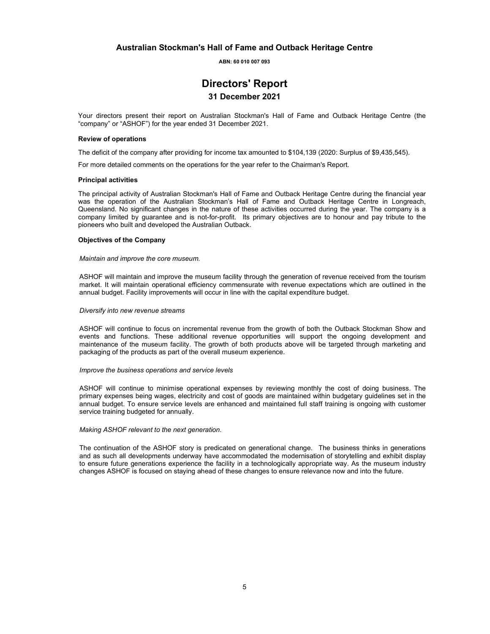**ABN: 60 010 007 093** 

### **Directors' Report**

#### **31 December 2021**

Your directors present their report on Australian Stockman's Hall of Fame and Outback Heritage Centre (the "company" or "ASHOF") for the year ended 31 December 2021.

#### **Review of operations**

The deficit of the company after providing for income tax amounted to \$104,139 (2020: Surplus of \$9,435,545).

For more detailed comments on the operations for the year refer to the Chairman's Report.

#### **Principal activities**

The principal activity of Australian Stockman's Hall of Fame and Outback Heritage Centre during the financial year was the operation of the Australian Stockman's Hall of Fame and Outback Heritage Centre in Longreach, Queensland. No significant changes in the nature of these activities occurred during the year. The company is a company limited by guarantee and is not-for-profit. Its primary objectives are to honour and pay tribute to the pioneers who built and developed the Australian Outback.

#### **Objectives of the Company**

#### *Maintain and improve the core museum.*

ASHOF will maintain and improve the museum facility through the generation of revenue received from the tourism market. It will maintain operational efficiency commensurate with revenue expectations which are outlined in the annual budget. Facility improvements will occur in line with the capital expenditure budget.

#### *Diversify into new revenue streams*

ASHOF will continue to focus on incremental revenue from the growth of both the Outback Stockman Show and events and functions. These additional revenue opportunities will support the ongoing development and maintenance of the museum facility. The growth of both products above will be targeted through marketing and packaging of the products as part of the overall museum experience.

#### *Improve the business operations and service levels*

ASHOF will continue to minimise operational expenses by reviewing monthly the cost of doing business. The primary expenses being wages, electricity and cost of goods are maintained within budgetary guidelines set in the annual budget. To ensure service levels are enhanced and maintained full staff training is ongoing with customer service training budgeted for annually.

#### *Making ASHOF relevant to the next generation*.

The continuation of the ASHOF story is predicated on generational change. The business thinks in generations and as such all developments underway have accommodated the modernisation of storytelling and exhibit display to ensure future generations experience the facility in a technologically appropriate way. As the museum industry changes ASHOF is focused on staying ahead of these changes to ensure relevance now and into the future.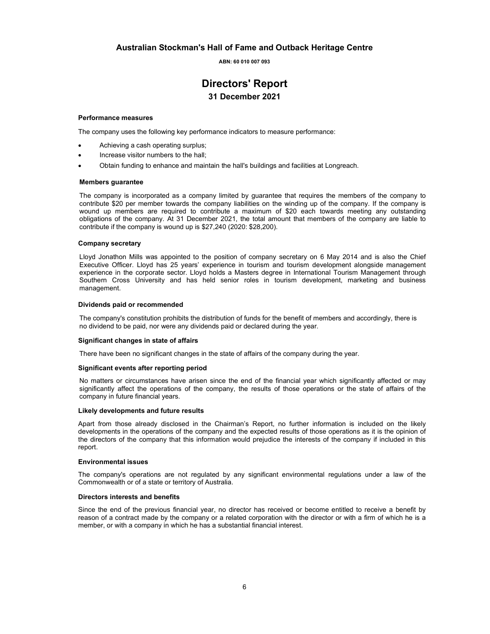**ABN: 60 010 007 093** 

### **Directors' Report 31 December 2021**

#### **Performance measures**

The company uses the following key performance indicators to measure performance:

- Achieving a cash operating surplus;
- Increase visitor numbers to the hall;
- Obtain funding to enhance and maintain the hall's buildings and facilities at Longreach.

#### **Members guarantee**

The company is incorporated as a company limited by guarantee that requires the members of the company to contribute \$20 per member towards the company liabilities on the winding up of the company. If the company is wound up members are required to contribute a maximum of \$20 each towards meeting any outstanding obligations of the company. At 31 December 2021, the total amount that members of the company are liable to contribute if the company is wound up is \$27,240 (2020: \$28,200).

#### **Company secretary**

Lloyd Jonathon Mills was appointed to the position of company secretary on 6 May 2014 and is also the Chief Executive Officer. Lloyd has 25 years' experience in tourism and tourism development alongside management experience in the corporate sector. Lloyd holds a Masters degree in International Tourism Management through Southern Cross University and has held senior roles in tourism development, marketing and business management.

#### **Dividends paid or recommended**

The company's constitution prohibits the distribution of funds for the benefit of members and accordingly, there is no dividend to be paid, nor were any dividends paid or declared during the year.

#### **Significant changes in state of affairs**

There have been no significant changes in the state of affairs of the company during the year.

#### **Significant events after reporting period**

No matters or circumstances have arisen since the end of the financial year which significantly affected or may significantly affect the operations of the company, the results of those operations or the state of affairs of the company in future financial years.

#### **Likely developments and future results**

Apart from those already disclosed in the Chairman's Report, no further information is included on the likely developments in the operations of the company and the expected results of those operations as it is the opinion of the directors of the company that this information would prejudice the interests of the company if included in this report.

#### **Environmental issues**

The company's operations are not regulated by any significant environmental regulations under a law of the Commonwealth or of a state or territory of Australia.

#### **Directors interests and benefits**

Since the end of the previous financial year, no director has received or become entitled to receive a benefit by reason of a contract made by the company or a related corporation with the director or with a firm of which he is a member, or with a company in which he has a substantial financial interest.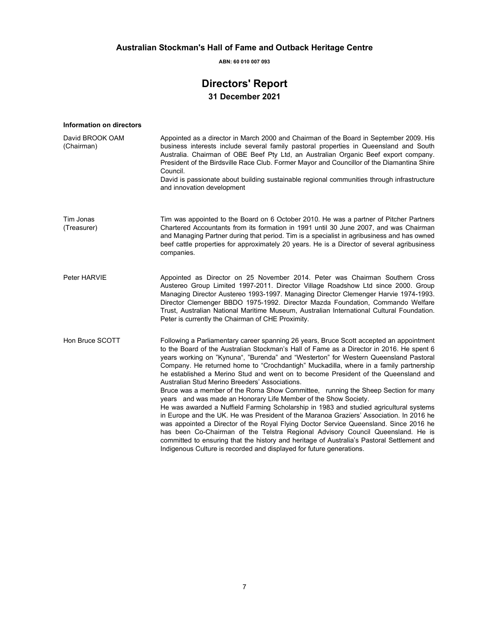**ABN: 60 010 007 093** 

### **Directors' Report 31 December 2021**

| Information on directors      |                                                                                                                                                                                                                                                                                                                                                                                                                                                                                                                                                                                                                                                                                                                                                                                                                                                                                                                                                                                                                                                                                                                                                                                                             |
|-------------------------------|-------------------------------------------------------------------------------------------------------------------------------------------------------------------------------------------------------------------------------------------------------------------------------------------------------------------------------------------------------------------------------------------------------------------------------------------------------------------------------------------------------------------------------------------------------------------------------------------------------------------------------------------------------------------------------------------------------------------------------------------------------------------------------------------------------------------------------------------------------------------------------------------------------------------------------------------------------------------------------------------------------------------------------------------------------------------------------------------------------------------------------------------------------------------------------------------------------------|
| David BROOK OAM<br>(Chairman) | Appointed as a director in March 2000 and Chairman of the Board in September 2009. His<br>business interests include several family pastoral properties in Queensland and South<br>Australia. Chairman of OBE Beef Pty Ltd, an Australian Organic Beef export company.<br>President of the Birdsville Race Club. Former Mayor and Councillor of the Diamantina Shire<br>Council.<br>David is passionate about building sustainable regional communities through infrastructure<br>and innovation development                                                                                                                                                                                                                                                                                                                                                                                                                                                                                                                                                                                                                                                                                                |
| Tim Jonas<br>(Treasurer)      | Tim was appointed to the Board on 6 October 2010. He was a partner of Pitcher Partners<br>Chartered Accountants from its formation in 1991 until 30 June 2007, and was Chairman<br>and Managing Partner during that period. Tim is a specialist in agribusiness and has owned<br>beef cattle properties for approximately 20 years. He is a Director of several agribusiness<br>companies.                                                                                                                                                                                                                                                                                                                                                                                                                                                                                                                                                                                                                                                                                                                                                                                                                  |
| Peter HARVIE                  | Appointed as Director on 25 November 2014. Peter was Chairman Southern Cross<br>Austereo Group Limited 1997-2011. Director Village Roadshow Ltd since 2000. Group<br>Managing Director Austereo 1993-1997. Managing Director Clemenger Harvie 1974-1993.<br>Director Clemenger BBDO 1975-1992. Director Mazda Foundation, Commando Welfare<br>Trust, Australian National Maritime Museum, Australian International Cultural Foundation.<br>Peter is currently the Chairman of CHE Proximity.                                                                                                                                                                                                                                                                                                                                                                                                                                                                                                                                                                                                                                                                                                                |
| Hon Bruce SCOTT               | Following a Parliamentary career spanning 26 years, Bruce Scott accepted an appointment<br>to the Board of the Australian Stockman's Hall of Fame as a Director in 2016. He spent 6<br>years working on "Kynuna", "Burenda" and "Westerton" for Western Queensland Pastoral<br>Company. He returned home to "Crochdantigh" Muckadilla, where in a family partnership<br>he established a Merino Stud and went on to become President of the Queensland and<br>Australian Stud Merino Breeders' Associations.<br>Bruce was a member of the Roma Show Committee, running the Sheep Section for many<br>years and was made an Honorary Life Member of the Show Society.<br>He was awarded a Nuffield Farming Scholarship in 1983 and studied agricultural systems<br>in Europe and the UK. He was President of the Maranoa Graziers' Association. In 2016 he<br>was appointed a Director of the Royal Flying Doctor Service Queensland. Since 2016 he<br>has been Co-Chairman of the Telstra Regional Advisory Council Queensland. He is<br>committed to ensuring that the history and heritage of Australia's Pastoral Settlement and<br>Indigenous Culture is recorded and displayed for future generations. |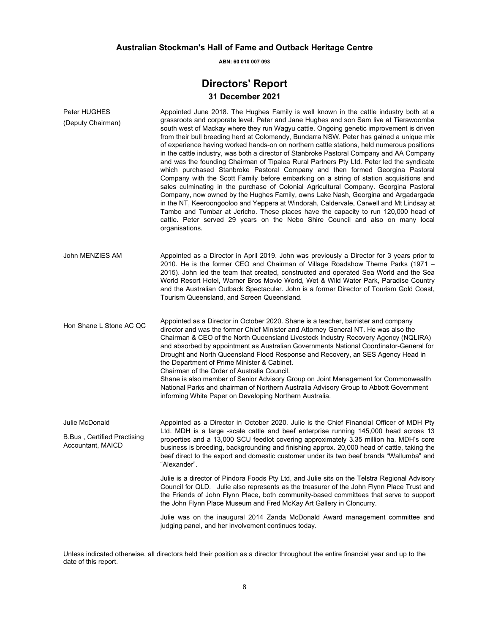**ABN: 60 010 007 093** 

### **Directors' Report**

### **31 December 2021**

| Peter HUGHES<br>(Deputy Chairman)                        | Appointed June 2018. The Hughes Family is well known in the cattle industry both at a<br>grassroots and corporate level. Peter and Jane Hughes and son Sam live at Tierawoomba<br>south west of Mackay where they run Wagyu cattle. Ongoing genetic improvement is driven<br>from their bull breeding herd at Colomendy, Bundarra NSW. Peter has gained a unique mix<br>of experience having worked hands-on on northern cattle stations, held numerous positions<br>in the cattle industry, was both a director of Stanbroke Pastoral Company and AA Company<br>and was the founding Chairman of Tipalea Rural Partners Pty Ltd. Peter led the syndicate<br>which purchased Stanbroke Pastoral Company and then formed Georgina Pastoral<br>Company with the Scott Family before embarking on a string of station acquisitions and<br>sales culminating in the purchase of Colonial Agricultural Company. Georgina Pastoral<br>Company, now owned by the Hughes Family, owns Lake Nash, Georgina and Argadargada<br>in the NT, Keeroongooloo and Yeppera at Windorah, Caldervale, Carwell and Mt Lindsay at<br>Tambo and Tumbar at Jericho. These places have the capacity to run 120,000 head of<br>cattle. Peter served 29 years on the Nebo Shire Council and also on many local<br>organisations. |
|----------------------------------------------------------|--------------------------------------------------------------------------------------------------------------------------------------------------------------------------------------------------------------------------------------------------------------------------------------------------------------------------------------------------------------------------------------------------------------------------------------------------------------------------------------------------------------------------------------------------------------------------------------------------------------------------------------------------------------------------------------------------------------------------------------------------------------------------------------------------------------------------------------------------------------------------------------------------------------------------------------------------------------------------------------------------------------------------------------------------------------------------------------------------------------------------------------------------------------------------------------------------------------------------------------------------------------------------------------------------------|
| John MENZIES AM                                          | Appointed as a Director in April 2019. John was previously a Director for 3 years prior to<br>2010. He is the former CEO and Chairman of Village Roadshow Theme Parks (1971 -<br>2015). John led the team that created, constructed and operated Sea World and the Sea<br>World Resort Hotel, Warner Bros Movie World, Wet & Wild Water Park, Paradise Country<br>and the Australian Outback Spectacular. John is a former Director of Tourism Gold Coast,<br>Tourism Queensland, and Screen Queensland.                                                                                                                                                                                                                                                                                                                                                                                                                                                                                                                                                                                                                                                                                                                                                                                               |
| Hon Shane L Stone AC QC                                  | Appointed as a Director in October 2020. Shane is a teacher, barrister and company<br>director and was the former Chief Minister and Attorney General NT. He was also the<br>Chairman & CEO of the North Queensland Livestock Industry Recovery Agency (NQLIRA)<br>and absorbed by appointment as Australian Governments National Coordinator-General for<br>Drought and North Queensland Flood Response and Recovery, an SES Agency Head in<br>the Department of Prime Minister & Cabinet.<br>Chairman of the Order of Australia Council.<br>Shane is also member of Senior Advisory Group on Joint Management for Commonwealth<br>National Parks and chairman of Northern Australia Advisory Group to Abbott Government<br>informing White Paper on Developing Northern Australia.                                                                                                                                                                                                                                                                                                                                                                                                                                                                                                                   |
| Julie McDonald                                           | Appointed as a Director in October 2020. Julie is the Chief Financial Officer of MDH Pty                                                                                                                                                                                                                                                                                                                                                                                                                                                                                                                                                                                                                                                                                                                                                                                                                                                                                                                                                                                                                                                                                                                                                                                                               |
| <b>B.Bus</b> , Certified Practising<br>Accountant, MAICD | Ltd. MDH is a large -scale cattle and beef enterprise running 145,000 head across 13<br>properties and a 13,000 SCU feedlot covering approximately 3.35 million ha. MDH's core<br>business is breeding, backgrounding and finishing approx. 20,000 head of cattle, taking the<br>beef direct to the export and domestic customer under its two beef brands "Wallumba" and<br>"Alexander".                                                                                                                                                                                                                                                                                                                                                                                                                                                                                                                                                                                                                                                                                                                                                                                                                                                                                                              |
|                                                          | Julie is a director of Pindora Foods Pty Ltd, and Julie sits on the Telstra Regional Advisory<br>Council for QLD. Julie also represents as the treasurer of the John Flynn Place Trust and<br>the Friends of John Flynn Place, both community-based committees that serve to support<br>the John Flynn Place Museum and Fred McKay Art Gallery in Cloncurry.                                                                                                                                                                                                                                                                                                                                                                                                                                                                                                                                                                                                                                                                                                                                                                                                                                                                                                                                           |
|                                                          | Julie was on the inaugural 2014 Zanda McDonald Award management committee and<br>judging panel, and her involvement continues today.                                                                                                                                                                                                                                                                                                                                                                                                                                                                                                                                                                                                                                                                                                                                                                                                                                                                                                                                                                                                                                                                                                                                                                   |

Unless indicated otherwise, all directors held their position as a director throughout the entire financial year and up to the date of this report.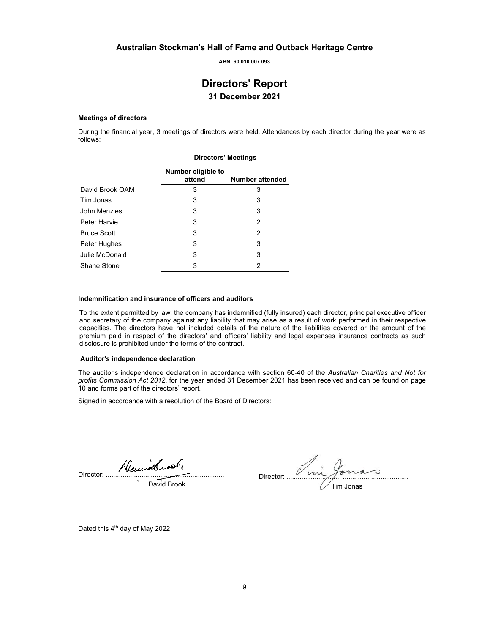**ABN: 60 010 007 093** 

### **Directors' Report 31 December 2021**

#### **Meetings of directors**

During the financial year, 3 meetings of directors were held. Attendances by each director during the year were as follows:

|                    | <b>Directors' Meetings</b>   |                        |  |
|--------------------|------------------------------|------------------------|--|
|                    | Number eligible to<br>attend | <b>Number attended</b> |  |
| David Brook OAM    | 3                            | 3                      |  |
| Tim Jonas          | 3                            | 3                      |  |
| John Menzies       | 3                            | 3                      |  |
| Peter Harvie       | 3                            | 2                      |  |
| <b>Bruce Scott</b> | 3                            | 2                      |  |
| Peter Hughes       | 3                            | 3                      |  |
| Julie McDonald     | 3                            | 3                      |  |
| Shane Stone        | 3                            | 2                      |  |

 $\blacksquare$ 

#### **Indemnification and insurance of officers and auditors**

To the extent permitted by law, the company has indemnified (fully insured) each director, principal executive officer and secretary of the company against any liability that may arise as a result of work performed in their respective capacities. The directors have not included details of the nature of the liabilities covered or the amount of the premium paid in respect of the directors' and officers' liability and legal expenses insurance contracts as such disclosure is prohibited under the terms of the contract.

#### **Auditor's independence declaration**

The auditor's independence declaration in accordance with section 60-40 of the *Australian Charities and Not for profits Commission Act 2012*, for the year ended 31 December 2021 has been received and can be found on page 10 and forms part of the directors' report.

Signed in accordance with a resolution of the Board of Directors:

Director: ...............................................................

David Brook

Director: ............................. ................................... Tim Jonas

Dated this  $4<sup>th</sup>$  day of May 2022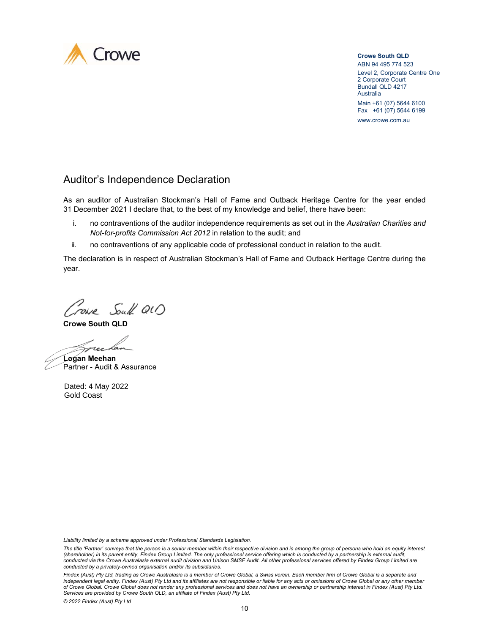

**Crowe South QLD** ABN 94 495 774 523 Level 2, Corporate Centre One 2 Corporate Court Bundall QLD 4217 Australia Main +61 (07) 5644 6100 Fax +61 (07) 5644 6199

www.crowe.com.au

### Auditor's Independence Declaration

As an auditor of Australian Stockman's Hall of Fame and Outback Heritage Centre for the year ended 31 December 2021 I declare that, to the best of my knowledge and belief, there have been:

- i. no contraventions of the auditor independence requirements as set out in the *Australian Charities and Not-for-profits Commission Act 2012* in relation to the audit; and
- no contraventions of any applicable code of professional conduct in relation to the audit. ii.

The declaration is in respect of Australian Stockman's Hall of Fame and Outback Heritage Centre during the year.

Crown South QU)

**Crowe South QLD**

Treeda

**Logan Meehan** Partner - Audit & Assurance

Dated: 4 May 2022 Gold Coast

*Liability limited by a scheme approved under Professional Standards Legislation.* 

*The title 'Partner' conveys that the person is a senior member within their respective division and is among the group of persons who hold an equity interest*  (shareholder) in its parent entity, Findex Group Limited. The only professional service offering which is conducted by a partnership is external audit,<br>conducted via the Crowe Australasia external audit division and Unison *conducted by a privately-owned organisation and/or its subsidiaries.* 

Findex (Aust) Pty Ltd, trading as Crowe Australasia is a member of Crowe Global, a Swiss verein. Each member firm of Crowe Global is a separate and *independent legal entity. Findex (Aust) Pty Ltd and its affiliates are not responsible or liable for any acts or omissions of Crowe Global or any other member of Crowe Global. Crowe Global does not render any professional services and does not have an ownership or partnership interest in Findex (Aust) Pty Ltd. Services are provided by Crowe South QLD, an affiliate of Findex (Aust) Pty Ltd.*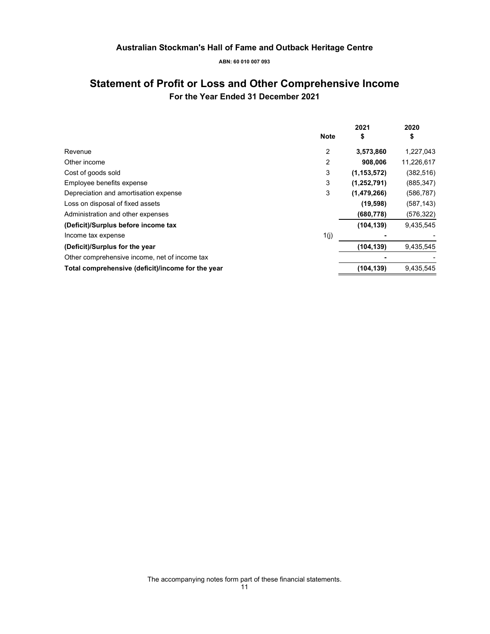**ABN: 60 010 007 093** 

### **Statement of Profit or Loss and Other Comprehensive Income For the Year Ended 31 December 2021**

|                                                   |             | 2021          | 2020       |
|---------------------------------------------------|-------------|---------------|------------|
|                                                   | <b>Note</b> | \$            | \$         |
| Revenue                                           | 2           | 3,573,860     | 1,227,043  |
| Other income                                      | 2           | 908.006       | 11,226,617 |
| Cost of goods sold                                | 3           | (1, 153, 572) | (382, 516) |
| Employee benefits expense                         | 3           | (1,252,791)   | (885, 347) |
| Depreciation and amortisation expense             | 3           | (1,479,266)   | (586, 787) |
| Loss on disposal of fixed assets                  |             | (19, 598)     | (587, 143) |
| Administration and other expenses                 |             | (680, 778)    | (576, 322) |
| (Deficit)/Surplus before income tax               |             | (104, 139)    | 9,435,545  |
| Income tax expense                                | 1(j)        |               |            |
| (Deficit)/Surplus for the year                    |             | (104, 139)    | 9,435,545  |
| Other comprehensive income, net of income tax     |             |               |            |
| Total comprehensive (deficit)/income for the year |             | (104, 139)    | 9,435,545  |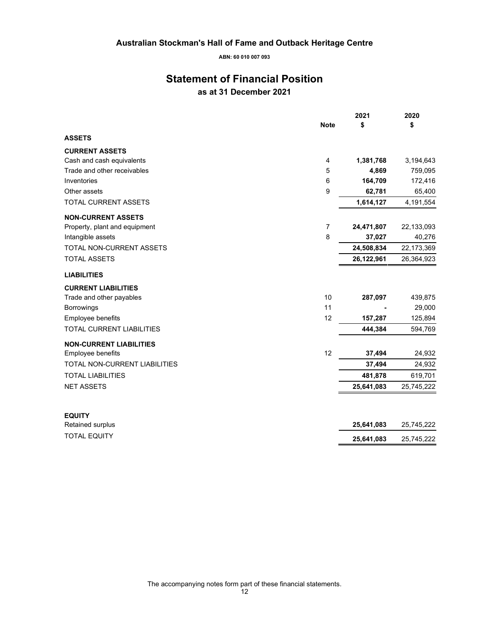**ABN: 60 010 007 093** 

### **Statement of Financial Position as at 31 December 2021**

|                                  | <b>Note</b> | 2021<br>\$ | 2020<br>\$ |
|----------------------------------|-------------|------------|------------|
| <b>ASSETS</b>                    |             |            |            |
| <b>CURRENT ASSETS</b>            |             |            |            |
| Cash and cash equivalents        | 4           | 1,381,768  | 3,194,643  |
| Trade and other receivables      | 5           | 4,869      | 759,095    |
| Inventories                      | 6           | 164,709    | 172,416    |
| Other assets                     | 9           | 62,781     | 65,400     |
| <b>TOTAL CURRENT ASSETS</b>      |             | 1,614,127  | 4,191,554  |
| <b>NON-CURRENT ASSETS</b>        |             |            |            |
| Property, plant and equipment    | 7           | 24,471,807 | 22,133,093 |
| Intangible assets                | 8           | 37,027     | 40,276     |
| <b>TOTAL NON-CURRENT ASSETS</b>  |             | 24,508,834 | 22,173,369 |
| <b>TOTAL ASSETS</b>              |             | 26,122,961 | 26,364,923 |
| <b>LIABILITIES</b>               |             |            |            |
| <b>CURRENT LIABILITIES</b>       |             |            |            |
| Trade and other payables         | 10          | 287,097    | 439,875    |
| <b>Borrowings</b>                | 11          |            | 29,000     |
| Employee benefits                | 12          | 157,287    | 125,894    |
| <b>TOTAL CURRENT LIABILITIES</b> |             | 444,384    | 594,769    |
| <b>NON-CURRENT LIABILITIES</b>   |             |            |            |
| <b>Employee benefits</b>         | 12          | 37,494     | 24,932     |
| TOTAL NON-CURRENT LIABILITIES    |             | 37,494     | 24,932     |
| <b>TOTAL LIABILITIES</b>         |             | 481,878    | 619,701    |
| <b>NET ASSETS</b>                |             | 25,641,083 | 25,745,222 |
| <b>EQUITY</b>                    |             |            |            |
| Retained surplus                 |             | 25,641,083 | 25,745,222 |
| <b>TOTAL EQUITY</b>              |             | 25,641,083 | 25,745,222 |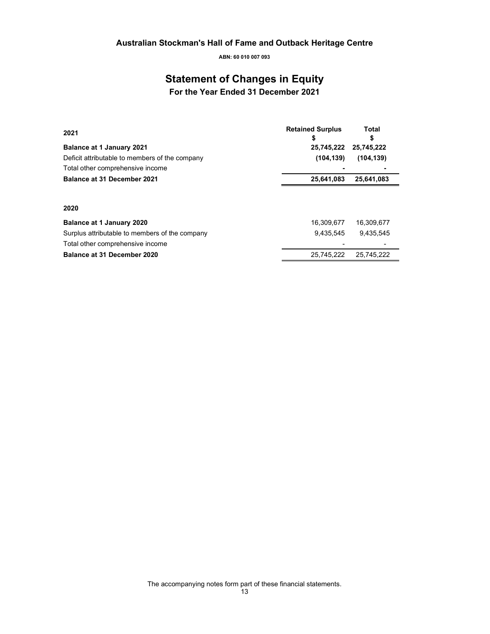## **Statement of Changes in Equity**

**For the Year Ended 31 December 2021** 

| 2021                                           | <b>Retained Surplus</b><br>\$ | Total<br>\$ |
|------------------------------------------------|-------------------------------|-------------|
| <b>Balance at 1 January 2021</b>               | 25,745,222                    | 25,745,222  |
| Deficit attributable to members of the company | (104, 139)                    | (104, 139)  |
| Total other comprehensive income               |                               |             |
| <b>Balance at 31 December 2021</b>             | 25,641,083                    | 25,641,083  |
| 2020                                           |                               |             |
| <b>Balance at 1 January 2020</b>               | 16,309,677                    | 16,309,677  |
| Surplus attributable to members of the company | 9.435.545                     | 9.435.545   |
| Total other comprehensive income               |                               |             |
| Balance at 31 December 2020                    | 25.745.222                    | 25.745.222  |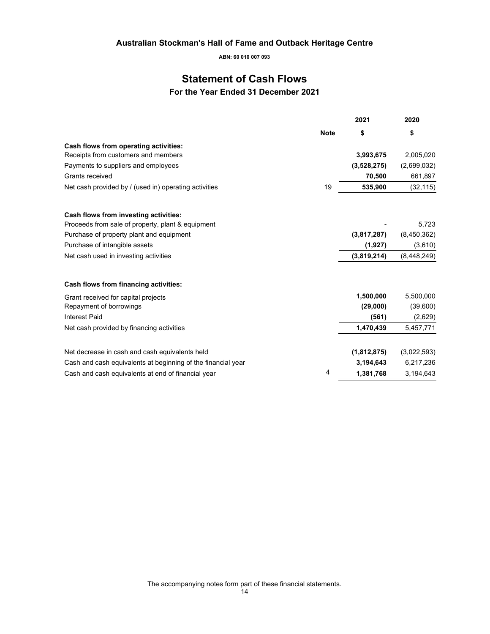**ABN: 60 010 007 093** 

### **Statement of Cash Flows**

**For the Year Ended 31 December 2021** 

|                                                              |             | 2021        | 2020          |
|--------------------------------------------------------------|-------------|-------------|---------------|
|                                                              | <b>Note</b> | \$          | \$            |
| Cash flows from operating activities:                        |             |             |               |
| Receipts from customers and members                          |             | 3,993,675   | 2,005,020     |
| Payments to suppliers and employees                          |             | (3,528,275) | (2,699,032)   |
| Grants received                                              |             | 70,500      | 661,897       |
| Net cash provided by / (used in) operating activities        | 19          | 535,900     | (32, 115)     |
| Cash flows from investing activities:                        |             |             |               |
| Proceeds from sale of property, plant & equipment            |             |             | 5,723         |
| Purchase of property plant and equipment                     |             | (3,817,287) | (8,450,362)   |
| Purchase of intangible assets                                |             | (1,927)     | (3,610)       |
| Net cash used in investing activities                        |             | (3,819,214) | (8, 448, 249) |
| Cash flows from financing activities:                        |             |             |               |
| Grant received for capital projects                          |             | 1,500,000   | 5,500,000     |
| Repayment of borrowings                                      |             | (29,000)    | (39,600)      |
| <b>Interest Paid</b>                                         |             | (561)       | (2,629)       |
| Net cash provided by financing activities                    |             | 1,470,439   | 5,457,771     |
| Net decrease in cash and cash equivalents held               |             | (1,812,875) | (3,022,593)   |
| Cash and cash equivalents at beginning of the financial year |             | 3,194,643   | 6,217,236     |
| Cash and cash equivalents at end of financial year           | 4           | 1,381,768   | 3,194,643     |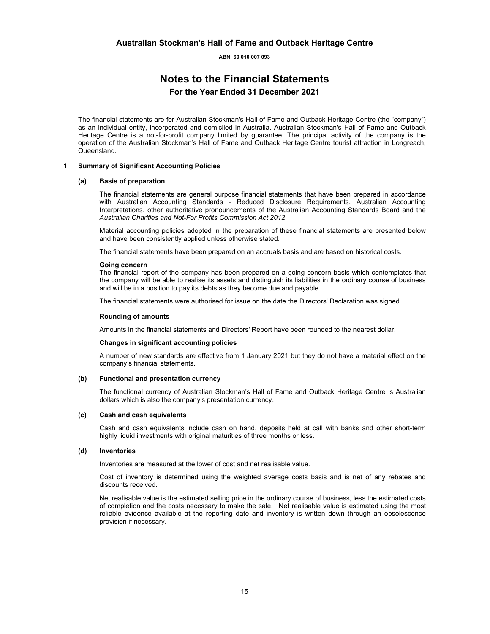### **Notes to the Financial Statements For the Year Ended 31 December 2021**

The financial statements are for Australian Stockman's Hall of Fame and Outback Heritage Centre (the "company") as an individual entity, incorporated and domiciled in Australia. Australian Stockman's Hall of Fame and Outback Heritage Centre is a not-for-profit company limited by guarantee. The principal activity of the company is the operation of the Australian Stockman's Hall of Fame and Outback Heritage Centre tourist attraction in Longreach, Queensland.

#### **1 Summary of Significant Accounting Policies**

#### **(a) Basis of preparation**

The financial statements are general purpose financial statements that have been prepared in accordance with Australian Accounting Standards - Reduced Disclosure Requirements, Australian Accounting Interpretations, other authoritative pronouncements of the Australian Accounting Standards Board and the *Australian Charities and Not-For Profits Commission Act 2012*.

Material accounting policies adopted in the preparation of these financial statements are presented below and have been consistently applied unless otherwise stated.

The financial statements have been prepared on an accruals basis and are based on historical costs.

#### **Going concern**

The financial report of the company has been prepared on a going concern basis which contemplates that the company will be able to realise its assets and distinguish its liabilities in the ordinary course of business and will be in a position to pay its debts as they become due and payable.

The financial statements were authorised for issue on the date the Directors' Declaration was signed.

#### **Rounding of amounts**

Amounts in the financial statements and Directors' Report have been rounded to the nearest dollar.

#### **Changes in significant accounting policies**

A number of new standards are effective from 1 January 2021 but they do not have a material effect on the company's financial statements.

#### **(b) Functional and presentation currency**

The functional currency of Australian Stockman's Hall of Fame and Outback Heritage Centre is Australian dollars which is also the company's presentation currency.

#### **(c) Cash and cash equivalents**

Cash and cash equivalents include cash on hand, deposits held at call with banks and other short-term highly liquid investments with original maturities of three months or less.

#### **(d) Inventories**

Inventories are measured at the lower of cost and net realisable value.

Cost of inventory is determined using the weighted average costs basis and is net of any rebates and discounts received.

Net realisable value is the estimated selling price in the ordinary course of business, less the estimated costs of completion and the costs necessary to make the sale. Net realisable value is estimated using the most reliable evidence available at the reporting date and inventory is written down through an obsolescence provision if necessary.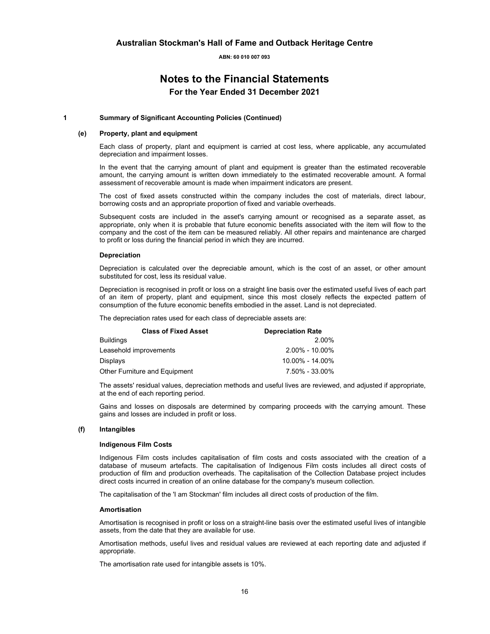### **Notes to the Financial Statements For the Year Ended 31 December 2021**

#### **1 Summary of Significant Accounting Policies (Continued)**

#### **(e) Property, plant and equipment**

Each class of property, plant and equipment is carried at cost less, where applicable, any accumulated depreciation and impairment losses.

In the event that the carrying amount of plant and equipment is greater than the estimated recoverable amount, the carrying amount is written down immediately to the estimated recoverable amount. A formal assessment of recoverable amount is made when impairment indicators are present.

The cost of fixed assets constructed within the company includes the cost of materials, direct labour, borrowing costs and an appropriate proportion of fixed and variable overheads.

Subsequent costs are included in the asset's carrying amount or recognised as a separate asset, as appropriate, only when it is probable that future economic benefits associated with the item will flow to the company and the cost of the item can be measured reliably. All other repairs and maintenance are charged to profit or loss during the financial period in which they are incurred.

#### **Depreciation**

Depreciation is calculated over the depreciable amount, which is the cost of an asset, or other amount substituted for cost, less its residual value.

Depreciation is recognised in profit or loss on a straight line basis over the estimated useful lives of each part of an item of property, plant and equipment, since this most closely reflects the expected pattern of consumption of the future economic benefits embodied in the asset. Land is not depreciated.

The depreciation rates used for each class of depreciable assets are:

| <b>Depreciation Rate</b> |  |
|--------------------------|--|
| 2.00%                    |  |
| $2.00\% - 10.00\%$       |  |
| 10.00% - 14.00%          |  |
| 7.50% - 33.00%           |  |
|                          |  |

The assets' residual values, depreciation methods and useful lives are reviewed, and adjusted if appropriate, at the end of each reporting period.

Gains and losses on disposals are determined by comparing proceeds with the carrying amount. These gains and losses are included in profit or loss.

#### **(f) Intangibles**

#### **Indigenous Film Costs**

Indigenous Film costs includes capitalisation of film costs and costs associated with the creation of a database of museum artefacts. The capitalisation of Indigenous Film costs includes all direct costs of production of film and production overheads. The capitalisation of the Collection Database project includes direct costs incurred in creation of an online database for the company's museum collection.

The capitalisation of the 'I am Stockman' film includes all direct costs of production of the film.

#### **Amortisation**

Amortisation is recognised in profit or loss on a straight-line basis over the estimated useful lives of intangible assets, from the date that they are available for use.

Amortisation methods, useful lives and residual values are reviewed at each reporting date and adjusted if appropriate.

The amortisation rate used for intangible assets is 10%.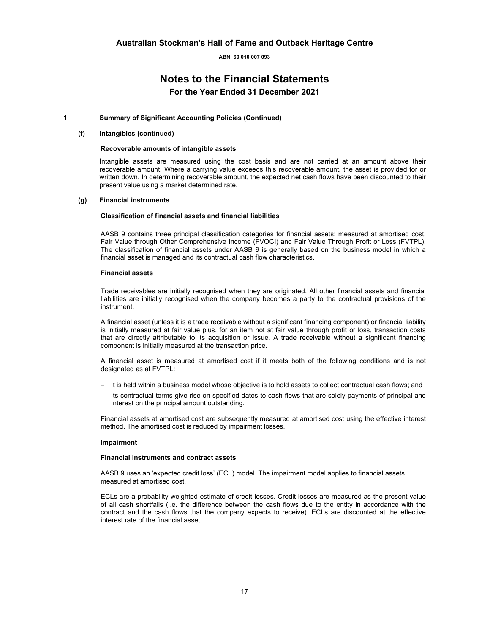### **Notes to the Financial Statements For the Year Ended 31 December 2021**

#### **1 Summary of Significant Accounting Policies (Continued)**

#### **(f) Intangibles (continued)**

#### **Recoverable amounts of intangible assets**

Intangible assets are measured using the cost basis and are not carried at an amount above their recoverable amount. Where a carrying value exceeds this recoverable amount, the asset is provided for or written down. In determining recoverable amount, the expected net cash flows have been discounted to their present value using a market determined rate.

#### **(g) Financial instruments**

#### **Classification of financial assets and financial liabilities**

AASB 9 contains three principal classification categories for financial assets: measured at amortised cost, Fair Value through Other Comprehensive Income (FVOCI) and Fair Value Through Profit or Loss (FVTPL). The classification of financial assets under AASB 9 is generally based on the business model in which a financial asset is managed and its contractual cash flow characteristics.

#### **Financial assets**

Trade receivables are initially recognised when they are originated. All other financial assets and financial liabilities are initially recognised when the company becomes a party to the contractual provisions of the instrument.

A financial asset (unless it is a trade receivable without a significant financing component) or financial liability is initially measured at fair value plus, for an item not at fair value through profit or loss, transaction costs that are directly attributable to its acquisition or issue. A trade receivable without a significant financing component is initially measured at the transaction price.

A financial asset is measured at amortised cost if it meets both of the following conditions and is not designated as at FVTPL:

- − it is held within a business model whose objective is to hold assets to collect contractual cash flows; and
- its contractual terms give rise on specified dates to cash flows that are solely payments of principal and interest on the principal amount outstanding.

Financial assets at amortised cost are subsequently measured at amortised cost using the effective interest method. The amortised cost is reduced by impairment losses.

#### **Impairment**

#### **Financial instruments and contract assets**

AASB 9 uses an 'expected credit loss' (ECL) model. The impairment model applies to financial assets measured at amortised cost.

ECLs are a probability-weighted estimate of credit losses. Credit losses are measured as the present value of all cash shortfalls (i.e. the difference between the cash flows due to the entity in accordance with the contract and the cash flows that the company expects to receive). ECLs are discounted at the effective interest rate of the financial asset.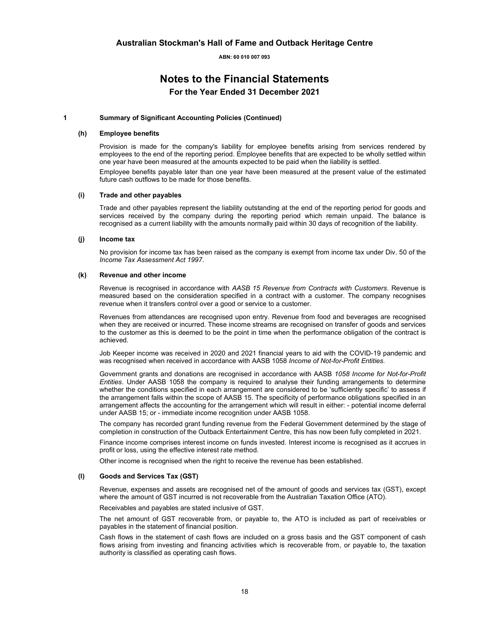### **Notes to the Financial Statements For the Year Ended 31 December 2021**

#### **1 Summary of Significant Accounting Policies (Continued)**

#### **(h) Employee benefits**

Provision is made for the company's liability for employee benefits arising from services rendered by employees to the end of the reporting period. Employee benefits that are expected to be wholly settled within one year have been measured at the amounts expected to be paid when the liability is settled. Employee benefits payable later than one year have been measured at the present value of the estimated future cash outflows to be made for those benefits.

#### **(i) Trade and other payables**

Trade and other payables represent the liability outstanding at the end of the reporting period for goods and services received by the company during the reporting period which remain unpaid. The balance is recognised as a current liability with the amounts normally paid within 30 days of recognition of the liability.

#### **(j) Income tax**

No provision for income tax has been raised as the company is exempt from income tax under Div. 50 of the *Income Tax Assessment Act 1997*.

#### **(k) Revenue and other income**

Revenue is recognised in accordance with *AASB 15 Revenue from Contracts with Customers*. Revenue is measured based on the consideration specified in a contract with a customer. The company recognises revenue when it transfers control over a good or service to a customer.

Revenues from attendances are recognised upon entry. Revenue from food and beverages are recognised when they are received or incurred. These income streams are recognised on transfer of goods and services to the customer as this is deemed to be the point in time when the performance obligation of the contract is achieved.

Job Keeper income was received in 2020 and 2021 financial years to aid with the COVID-19 pandemic and was recognised when received in accordance with AASB 1058 *Income of Not-for-Profit Entities.*

Government grants and donations are recognised in accordance with AASB *1058 Income for Not-for-Profit Entities*. Under AASB 1058 the company is required to analyse their funding arrangements to determine whether the conditions specified in each arrangement are considered to be 'sufficiently specific' to assess if the arrangement falls within the scope of AASB 15. The specificity of performance obligations specified in an arrangement affects the accounting for the arrangement which will result in either: - potential income deferral under AASB 15; or - immediate income recognition under AASB 1058.

The company has recorded grant funding revenue from the Federal Government determined by the stage of completion in construction of the Outback Entertainment Centre, this has now been fully completed in 2021.

Finance income comprises interest income on funds invested. Interest income is recognised as it accrues in profit or loss, using the effective interest rate method.

Other income is recognised when the right to receive the revenue has been established.

#### **(l) Goods and Services Tax (GST)**

Revenue, expenses and assets are recognised net of the amount of goods and services tax (GST), except where the amount of GST incurred is not recoverable from the Australian Taxation Office (ATO).

Receivables and payables are stated inclusive of GST.

The net amount of GST recoverable from, or payable to, the ATO is included as part of receivables or payables in the statement of financial position.

Cash flows in the statement of cash flows are included on a gross basis and the GST component of cash flows arising from investing and financing activities which is recoverable from, or payable to, the taxation authority is classified as operating cash flows.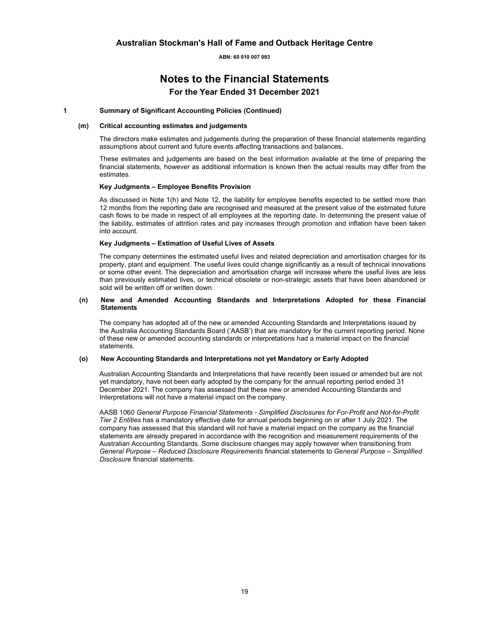### **Notes to the Financial Statements For the Year Ended 31 December 2021**

#### **1 Summary of Significant Accounting Policies (Continued)**

#### **(m) Critical accounting estimates and judgements**

The directors make estimates and judgements during the preparation of these financial statements regarding assumptions about current and future events affecting transactions and balances.

These estimates and judgements are based on the best information available at the time of preparing the financial statements, however as additional information is known then the actual results may differ from the estimates.

#### **Key Judgments – Employee Benefits Provision**

As discussed in Note 1(h) and Note 12, the liability for employee benefits expected to be settled more than 12 months from the reporting date are recognised and measured at the present value of the estimated future cash flows to be made in respect of all employees at the reporting date. In determining the present value of the liability, estimates of attrition rates and pay increases through promotion and inflation have been taken into account.

#### **Key Judgments – Estimation of Useful Lives of Assets**

The company determines the estimated useful lives and related depreciation and amortisation charges for its property, plant and equipment. The useful lives could change significantly as a result of technical innovations or some other event. The depreciation and amortisation charge will increase where the useful lives are less than previously estimated lives, or technical obsolete or non-strategic assets that have been abandoned or sold will be written off or written down.

#### **(n) New and Amended Accounting Standards and Interpretations Adopted for these Financial Statements**

 The company has adopted all of the new or amended Accounting Standards and Interpretations issued by the Australia Accounting Standards Board ('AASB') that are mandatory for the current reporting period. None of these new or amended accounting standards or interpretations had a material impact on the financial statements.

#### **(o) New Accounting Standards and Interpretations not yet Mandatory or Early Adopted**

 Australian Accounting Standards and Interpretations that have recently been issued or amended but are not yet mandatory, have not been early adopted by the company for the annual reporting period ended 31 December 2021. The company has assessed that these new or amended Accounting Standards and Interpretations will not have a material impact on the company.

 AASB 1060 *General Purpose Financial Statements - Simplified Disclosures for For-Profit and Not-for-Profit Tier 2 Entities* has a mandatory effective date for annual periods beginning on or after 1 July 2021. The company has assessed that this standard will not have a material impact on the company as the financial statements are already prepared in accordance with the recognition and measurement requirements of the Australian Accounting Standards. Some disclosure changes may apply however when transitioning from *General Purpose – Reduced Disclosure Requirements* financial statements to *General Purpose – Simplified Disclosure* financial statements.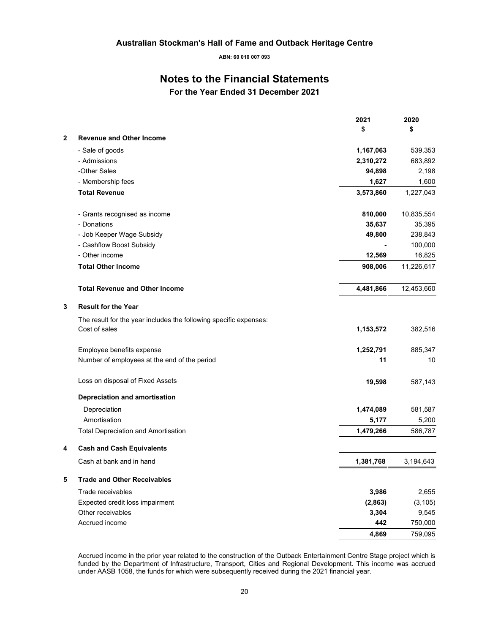### **Notes to the Financial Statements**

**For the Year Ended 31 December 2021** 

|              |                                                                   | 2021      | 2020       |
|--------------|-------------------------------------------------------------------|-----------|------------|
|              |                                                                   | \$        | \$         |
| $\mathbf{2}$ | <b>Revenue and Other Income</b>                                   |           |            |
|              | - Sale of goods                                                   | 1,167,063 | 539,353    |
|              | - Admissions                                                      | 2,310,272 | 683,892    |
|              | -Other Sales                                                      | 94,898    | 2,198      |
|              | - Membership fees                                                 | 1,627     | 1,600      |
|              | <b>Total Revenue</b>                                              | 3,573,860 | 1,227,043  |
|              | - Grants recognised as income                                     | 810,000   | 10,835,554 |
|              | - Donations                                                       | 35,637    | 35,395     |
|              | - Job Keeper Wage Subsidy                                         | 49,800    | 238,843    |
|              | - Cashflow Boost Subsidy                                          |           | 100,000    |
|              | - Other income                                                    | 12,569    | 16,825     |
|              | <b>Total Other Income</b>                                         | 908,006   | 11,226,617 |
|              | <b>Total Revenue and Other Income</b>                             | 4,481,866 | 12,453,660 |
| 3            | <b>Result for the Year</b>                                        |           |            |
|              | The result for the year includes the following specific expenses: |           |            |
|              | Cost of sales                                                     | 1,153,572 | 382,516    |
|              | Employee benefits expense                                         | 1,252,791 | 885,347    |
|              | Number of employees at the end of the period                      | 11        | 10         |
|              | Loss on disposal of Fixed Assets                                  | 19,598    | 587,143    |
|              | <b>Depreciation and amortisation</b>                              |           |            |
|              | Depreciation                                                      | 1,474,089 | 581,587    |
|              | Amortisation                                                      | 5,177     | 5,200      |
|              | <b>Total Depreciation and Amortisation</b>                        | 1,479,266 | 586,787    |
| 4            | <b>Cash and Cash Equivalents</b>                                  |           |            |
|              | Cash at bank and in hand                                          | 1,381,768 | 3,194,643  |
| 5            | <b>Trade and Other Receivables</b>                                |           |            |
|              | Trade receivables                                                 | 3,986     | 2,655      |
|              | Expected credit loss impairment                                   | (2,863)   | (3, 105)   |
|              | Other receivables                                                 | 3,304     | 9,545      |
|              | Accrued income                                                    | 442       | 750,000    |
|              |                                                                   | 4,869     | 759,095    |

Accrued income in the prior year related to the construction of the Outback Entertainment Centre Stage project which is funded by the Department of Infrastructure, Transport, Cities and Regional Development. This income was accrued under AASB 1058, the funds for which were subsequently received during the 2021 financial year.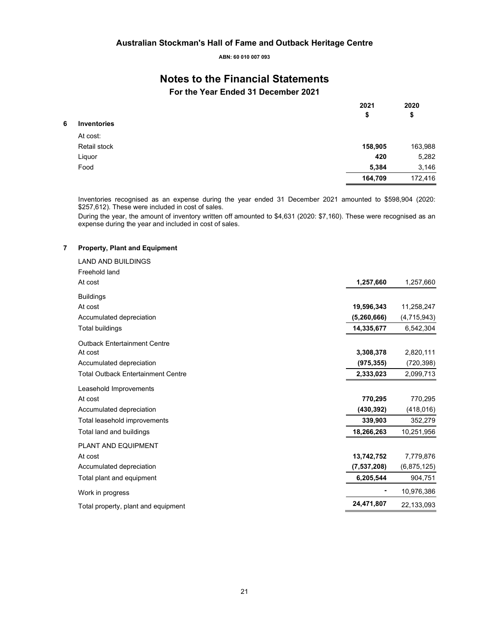### **Notes to the Financial Statements**

**For the Year Ended 31 December 2021** 

|   |                    | 2021<br>\$ | 2020<br>\$ |
|---|--------------------|------------|------------|
| 6 | <b>Inventories</b> |            |            |
|   | At cost:           |            |            |
|   | Retail stock       | 158,905    | 163,988    |
|   | Liquor             | 420        | 5,282      |
|   | Food               | 5,384      | 3,146      |
|   |                    | 164,709    | 172,416    |

Inventories recognised as an expense during the year ended 31 December 2021 amounted to \$598,904 (2020: \$257,612). These were included in cost of sales.

During the year, the amount of inventory written off amounted to \$4,631 (2020: \$7,160). These were recognised as an expense during the year and included in cost of sales.

#### **7 Property, Plant and Equipment**

| <b>LAND AND BUILDINGS</b>                 |               |             |
|-------------------------------------------|---------------|-------------|
| Freehold land                             |               |             |
| At cost                                   | 1,257,660     | 1,257,660   |
| <b>Buildings</b>                          |               |             |
| At cost                                   | 19,596,343    | 11,258,247  |
| Accumulated depreciation                  | (5, 260, 666) | (4,715,943) |
| <b>Total buildings</b>                    | 14,335,677    | 6,542,304   |
| <b>Outback Entertainment Centre</b>       |               |             |
| At cost                                   | 3,308,378     | 2,820,111   |
| Accumulated depreciation                  | (975, 355)    | (720, 398)  |
| <b>Total Outback Entertainment Centre</b> | 2,333,023     | 2,099,713   |
| Leasehold Improvements                    |               |             |
| At cost                                   | 770,295       | 770,295     |
| Accumulated depreciation                  | (430, 392)    | (418, 016)  |
| Total leasehold improvements              | 339,903       | 352,279     |
| Total land and buildings                  | 18,266,263    | 10,251,956  |
| PLANT AND EQUIPMENT                       |               |             |
| At cost                                   | 13,742,752    | 7,779,876   |
| Accumulated depreciation                  | (7, 537, 208) | (6,875,125) |
| Total plant and equipment                 | 6,205,544     | 904,751     |
| Work in progress                          |               | 10,976,386  |
| Total property, plant and equipment       | 24,471,807    | 22,133,093  |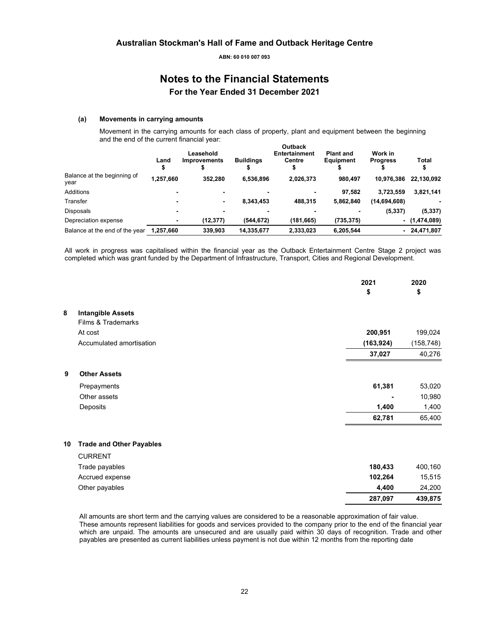### **Notes to the Financial Statements For the Year Ended 31 December 2021**

#### **(a) Movements in carrying amounts**

Movement in the carrying amounts for each class of property, plant and equipment between the beginning and the end of the current financial year: **Outback** 

|                                     | Land      | Leasehold<br><b>Improvements</b> | <b>Buildings</b> | Outback<br><b>Entertainment</b><br>Centre | <b>Plant and</b><br>Equipment | Work in<br><b>Progress</b> | Total           |
|-------------------------------------|-----------|----------------------------------|------------------|-------------------------------------------|-------------------------------|----------------------------|-----------------|
| Balance at the beginning of<br>vear | 1,257,660 | 352.280                          | 6,536,896        | 2,026,373                                 | 980.497                       | 10.976.386                 | 22,130,092      |
| Additions                           |           |                                  |                  |                                           | 97.582                        | 3.723.559                  | 3,821,141       |
| Transfer                            |           | $\blacksquare$                   | 8.343.453        | 488.315                                   | 5,862,840                     | (14,694,608)               |                 |
| Disposals                           |           |                                  |                  |                                           |                               | (5, 337)                   | (5, 337)        |
| Depreciation expense                |           | (12, 377)                        | (544, 672)       | (181, 665)                                | (735, 375)                    |                            | $-$ (1,474,089) |
| Balance at the end of the year      | 1,257,660 | 339,903                          | 14,335,677       | 2,333,023                                 | 6,205,544                     | $\overline{\phantom{0}}$   | 24,471,807      |
|                                     |           |                                  |                  |                                           |                               |                            |                 |

All work in progress was capitalised within the financial year as the Outback Entertainment Centre Stage 2 project was completed which was grant funded by the Department of Infrastructure, Transport, Cities and Regional Development.

|    |                                 | 2021<br>\$ | 2020<br>\$ |
|----|---------------------------------|------------|------------|
| 8  | <b>Intangible Assets</b>        |            |            |
|    | Films & Trademarks              |            |            |
|    | At cost                         | 200,951    | 199,024    |
|    | Accumulated amortisation        | (163, 924) | (158, 748) |
|    |                                 | 37,027     | 40,276     |
| 9  | <b>Other Assets</b>             |            |            |
|    | Prepayments                     | 61,381     | 53,020     |
|    | Other assets                    |            | 10,980     |
|    | Deposits                        | 1,400      | 1,400      |
|    |                                 | 62,781     | 65,400     |
| 10 | <b>Trade and Other Payables</b> |            |            |
|    | <b>CURRENT</b>                  |            |            |
|    | Trade payables                  | 180,433    | 400,160    |
|    | Accrued expense                 | 102,264    | 15,515     |
|    | Other payables                  | 4,400      | 24,200     |
|    |                                 | 287,097    | 439,875    |

All amounts are short term and the carrying values are considered to be a reasonable approximation of fair value. These amounts represent liabilities for goods and services provided to the company prior to the end of the financial year which are unpaid. The amounts are unsecured and are usually paid within 30 days of recognition. Trade and other payables are presented as current liabilities unless payment is not due within 12 months from the reporting date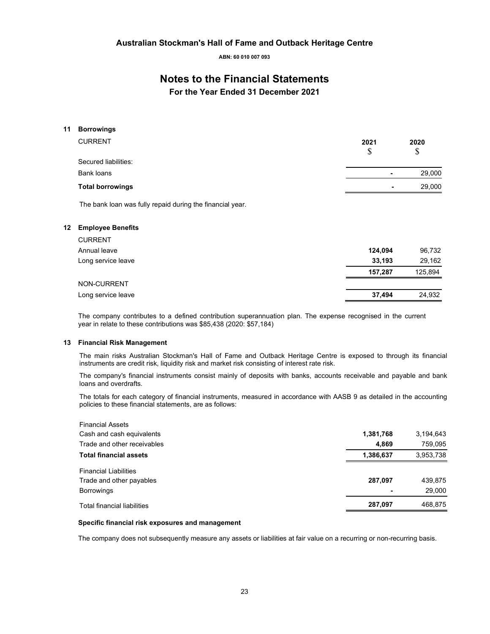**ABN: 60 010 007 093** 

### **Notes to the Financial Statements**

**For the Year Ended 31 December 2021** 

#### **11 Borrowings**

| <b>CURRENT</b>          | 2021 | 2020<br>\$               |  |
|-------------------------|------|--------------------------|--|
| Secured liabilities:    |      |                          |  |
| Bank loans              |      | 29,000<br>٠              |  |
| <b>Total borrowings</b> |      | 29,000<br>$\blacksquare$ |  |
|                         |      |                          |  |

The bank loan was fully repaid during the financial year.

#### **12 Employee Benefits**

| <b>CURRENT</b>     |         |         |
|--------------------|---------|---------|
| Annual leave       | 124,094 | 96,732  |
| Long service leave | 33.193  | 29,162  |
|                    | 157.287 | 125,894 |
| <b>NON-CURRENT</b> |         |         |
| Long service leave | 37,494  | 24,932  |

The company contributes to a defined contribution superannuation plan. The expense recognised in the current year in relate to these contributions was \$85,438 (2020: \$57,184)

#### **13 Financial Risk Management**

The main risks Australian Stockman's Hall of Fame and Outback Heritage Centre is exposed to through its financial instruments are credit risk, liquidity risk and market risk consisting of interest rate risk.

The company's financial instruments consist mainly of deposits with banks, accounts receivable and payable and bank loans and overdrafts.

The totals for each category of financial instruments, measured in accordance with AASB 9 as detailed in the accounting policies to these financial statements, are as follows:

| <b>Financial Assets</b>            |                |           |
|------------------------------------|----------------|-----------|
| Cash and cash equivalents          | 1,381,768      | 3,194,643 |
| Trade and other receivables        | 4.869          | 759,095   |
| <b>Total financial assets</b>      | 1,386,637      | 3,953,738 |
| <b>Financial Liabilities</b>       |                |           |
| Trade and other payables           | 287,097        | 439,875   |
| <b>Borrowings</b>                  | $\blacksquare$ | 29,000    |
| <b>Total financial liabilities</b> | 287,097        | 468,875   |

#### **Specific financial risk exposures and management**

The company does not subsequently measure any assets or liabilities at fair value on a recurring or non-recurring basis.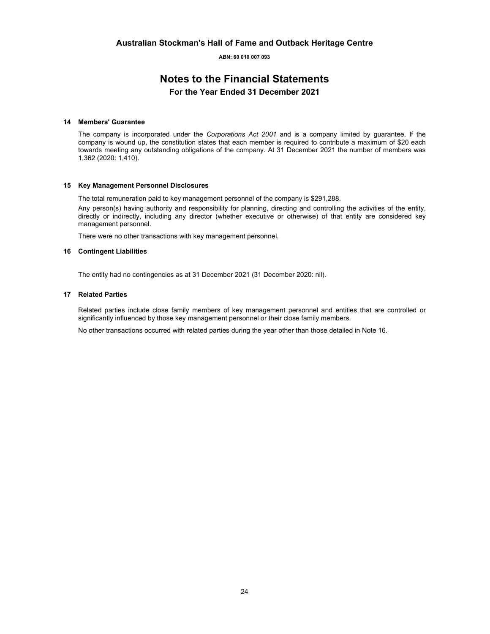### **Notes to the Financial Statements For the Year Ended 31 December 2021**

#### **14 Members' Guarantee**

The company is incorporated under the *Corporations Act 2001* and is a company limited by guarantee. If the company is wound up, the constitution states that each member is required to contribute a maximum of \$20 each towards meeting any outstanding obligations of the company. At 31 December 2021 the number of members was 1,362 (2020: 1,410).

#### **15 Key Management Personnel Disclosures**

The total remuneration paid to key management personnel of the company is \$291,288.

Any person(s) having authority and responsibility for planning, directing and controlling the activities of the entity, directly or indirectly, including any director (whether executive or otherwise) of that entity are considered key management personnel.

There were no other transactions with key management personnel.

#### **16 Contingent Liabilities**

The entity had no contingencies as at 31 December 2021 (31 December 2020: nil).

#### **17 Related Parties**

Related parties include close family members of key management personnel and entities that are controlled or significantly influenced by those key management personnel or their close family members.

No other transactions occurred with related parties during the year other than those detailed in Note 16.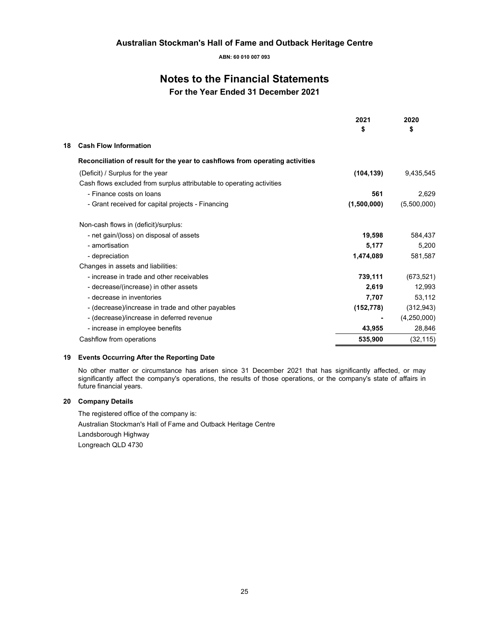**ABN: 60 010 007 093** 

### **Notes to the Financial Statements**

**For the Year Ended 31 December 2021** 

|                                                                              | 2021<br>\$  | 2020<br>\$  |
|------------------------------------------------------------------------------|-------------|-------------|
| <b>Cash Flow Information</b><br>18                                           |             |             |
| Reconciliation of result for the year to cashflows from operating activities |             |             |
| (Deficit) / Surplus for the year                                             | (104, 139)  | 9,435,545   |
| Cash flows excluded from surplus attributable to operating activities        |             |             |
| - Finance costs on loans                                                     | 561         | 2,629       |
| - Grant received for capital projects - Financing                            | (1,500,000) | (5,500,000) |
| Non-cash flows in (deficit)/surplus:                                         |             |             |
| - net gain/(loss) on disposal of assets                                      | 19,598      | 584,437     |
| - amortisation                                                               | 5,177       | 5,200       |
| - depreciation                                                               | 1,474,089   | 581,587     |
| Changes in assets and liabilities:                                           |             |             |
| - increase in trade and other receivables                                    | 739,111     | (673, 521)  |
| - decrease/(increase) in other assets                                        | 2,619       | 12,993      |
| - decrease in inventories                                                    | 7,707       | 53,112      |
| - (decrease)/increase in trade and other payables                            | (152, 778)  | (312, 943)  |
| - (decrease)/increase in deferred revenue                                    |             | (4,250,000) |
| - increase in employee benefits                                              | 43,955      | 28,846      |
| Cashflow from operations                                                     | 535.900     | (32,115)    |

#### **19 Events Occurring After the Reporting Date**

No other matter or circumstance has arisen since 31 December 2021 that has significantly affected, or may significantly affect the company's operations, the results of those operations, or the company's state of affairs in future financial years.

#### **20 Company Details**

The registered office of the company is: Australian Stockman's Hall of Fame and Outback Heritage Centre Landsborough Highway Longreach QLD 4730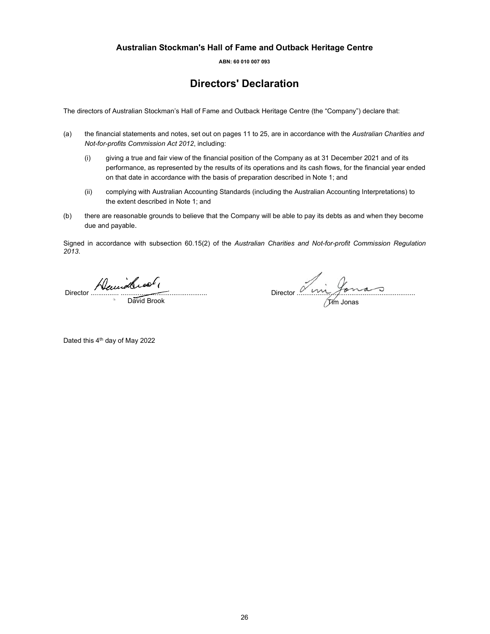**ABN: 60 010 007 093** 

### **Directors' Declaration**

The directors of Australian Stockman's Hall of Fame and Outback Heritage Centre (the "Company") declare that:

- (a) the financial statements and notes, set out on pages 11 to 25, are in accordance with the *Australian Charities and Not-for-profits Commission Act 2012*, including:
	- (i) giving a true and fair view of the financial position of the Company as at 31 December 2021 and of its performance, as represented by the results of its operations and its cash flows, for the financial year ended on that date in accordance with the basis of preparation described in Note 1; and
	- (ii) complying with Australian Accounting Standards (including the Australian Accounting Interpretations) to the extent described in Note 1; and
- (b) there are reasonable grounds to believe that the Company will be able to pay its debts as and when they become due and payable.

Signed in accordance with subsection 60.15(2) of the *Australian Charities and Not-for-profit Commission Regulation 2013*.

Director ............... ..............................................

**David Brook** 

Director ...............................................................

Tim Jonas

Dated this 4<sup>th</sup> day of May 2022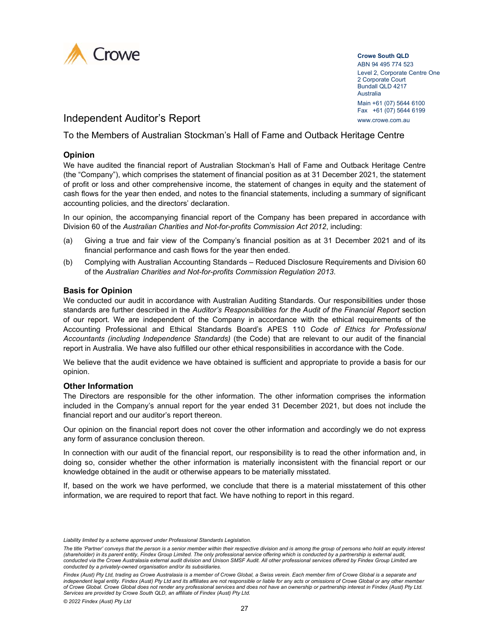

**Crowe South QLD**  ABN 94 495 774 523 Level 2, Corporate Centre One 2 Corporate Court Bundall QLD 4217 Australia Main +61 (07) 5644 6100 Fax +61 (07) 5644 6199

Independent Auditor's Report www.crowe.com.au

To the Members of Australian Stockman's Hall of Fame and Outback Heritage Centre

### **Opinion**

We have audited the financial report of Australian Stockman's Hall of Fame and Outback Heritage Centre (the "Company"), which comprises the statement of financial position as at 31 December 2021, the statement of profit or loss and other comprehensive income, the statement of changes in equity and the statement of cash flows for the year then ended, and notes to the financial statements, including a summary of significant accounting policies, and the directors' declaration.

In our opinion, the accompanying financial report of the Company has been prepared in accordance with Division 60 of the *Australian Charities and Not-for-profits Commission Act 2012*, including:

- (a) Giving a true and fair view of the Company's financial position as at 31 December 2021 and of its financial performance and cash flows for the year then ended.
- (b) Complying with Australian Accounting Standards Reduced Disclosure Requirements and Division 60 of the *Australian Charities and Not-for-profits Commission Regulation 2013*.

#### **Basis for Opinion**

We conducted our audit in accordance with Australian Auditing Standards. Our responsibilities under those standards are further described in the *Auditor's Responsibilities for the Audit of the Financial Report* section of our report. We are independent of the Company in accordance with the ethical requirements of the Accounting Professional and Ethical Standards Board's APES 110 *Code of Ethics for Professional Accountants (including Independence Standards)* (the Code) that are relevant to our audit of the financial report in Australia. We have also fulfilled our other ethical responsibilities in accordance with the Code.

We believe that the audit evidence we have obtained is sufficient and appropriate to provide a basis for our opinion.

#### **Other Information**

The Directors are responsible for the other information. The other information comprises the information included in the Company's annual report for the year ended 31 December 2021, but does not include the financial report and our auditor's report thereon.

Our opinion on the financial report does not cover the other information and accordingly we do not express any form of assurance conclusion thereon.

In connection with our audit of the financial report, our responsibility is to read the other information and, in doing so, consider whether the other information is materially inconsistent with the financial report or our knowledge obtained in the audit or otherwise appears to be materially misstated.

If, based on the work we have performed, we conclude that there is a material misstatement of this other information, we are required to report that fact. We have nothing to report in this regard.

*Liability limited by a scheme approved under Professional Standards Legislation.* 

*The title 'Partner' conveys that the person is a senior member within their respective division and is among the group of persons who hold an equity interest (shareholder) in its parent entity, Findex Group Limited. The only professional service offering which is conducted by a partnership is external audit, conducted via the Crowe Australasia external audit division and Unison SMSF Audit. All other professional services offered by Findex Group Limited are conducted by a privately-owned organisation and/or its subsidiaries.* 

Findex (Aust) Pty Ltd, trading as Crowe Australasia is a member of Crowe Global, a Swiss verein. Each member firm of Crowe Global is a separate and *independent legal entity. Findex (Aust) Pty Ltd and its affiliates are not responsible or liable for any acts or omissions of Crowe Global or any other member of Crowe Global. Crowe Global does not render any professional services and does not have an ownership or partnership interest in Findex (Aust) Pty Ltd. Services are provided by Crowe South QLD, an affiliate of Findex (Aust) Pty Ltd.*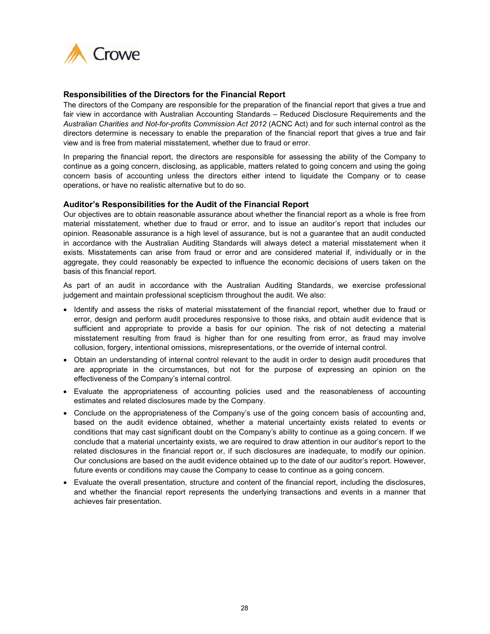

#### **Responsibilities of the Directors for the Financial Report**

The directors of the Company are responsible for the preparation of the financial report that gives a true and fair view in accordance with Australian Accounting Standards – Reduced Disclosure Requirements and the *Australian Charities and Not-for-profits Commission Act 2012* (ACNC Act) and for such internal control as the directors determine is necessary to enable the preparation of the financial report that gives a true and fair view and is free from material misstatement, whether due to fraud or error.

In preparing the financial report, the directors are responsible for assessing the ability of the Company to continue as a going concern, disclosing, as applicable, matters related to going concern and using the going concern basis of accounting unless the directors either intend to liquidate the Company or to cease operations, or have no realistic alternative but to do so.

#### **Auditor's Responsibilities for the Audit of the Financial Report**

Our objectives are to obtain reasonable assurance about whether the financial report as a whole is free from material misstatement, whether due to fraud or error, and to issue an auditor's report that includes our opinion. Reasonable assurance is a high level of assurance, but is not a guarantee that an audit conducted in accordance with the Australian Auditing Standards will always detect a material misstatement when it exists. Misstatements can arise from fraud or error and are considered material if, individually or in the aggregate, they could reasonably be expected to influence the economic decisions of users taken on the basis of this financial report.

As part of an audit in accordance with the Australian Auditing Standards, we exercise professional judgement and maintain professional scepticism throughout the audit. We also:

- Identify and assess the risks of material misstatement of the financial report, whether due to fraud or error, design and perform audit procedures responsive to those risks, and obtain audit evidence that is sufficient and appropriate to provide a basis for our opinion. The risk of not detecting a material misstatement resulting from fraud is higher than for one resulting from error, as fraud may involve collusion, forgery, intentional omissions, misrepresentations, or the override of internal control.
- Obtain an understanding of internal control relevant to the audit in order to design audit procedures that are appropriate in the circumstances, but not for the purpose of expressing an opinion on the effectiveness of the Company's internal control.
- Evaluate the appropriateness of accounting policies used and the reasonableness of accounting estimates and related disclosures made by the Company.
- Conclude on the appropriateness of the Company's use of the going concern basis of accounting and, based on the audit evidence obtained, whether a material uncertainty exists related to events or conditions that may cast significant doubt on the Company's ability to continue as a going concern. If we conclude that a material uncertainty exists, we are required to draw attention in our auditor's report to the related disclosures in the financial report or, if such disclosures are inadequate, to modify our opinion. Our conclusions are based on the audit evidence obtained up to the date of our auditor's report. However, future events or conditions may cause the Company to cease to continue as a going concern.
- Evaluate the overall presentation, structure and content of the financial report, including the disclosures, and whether the financial report represents the underlying transactions and events in a manner that achieves fair presentation.